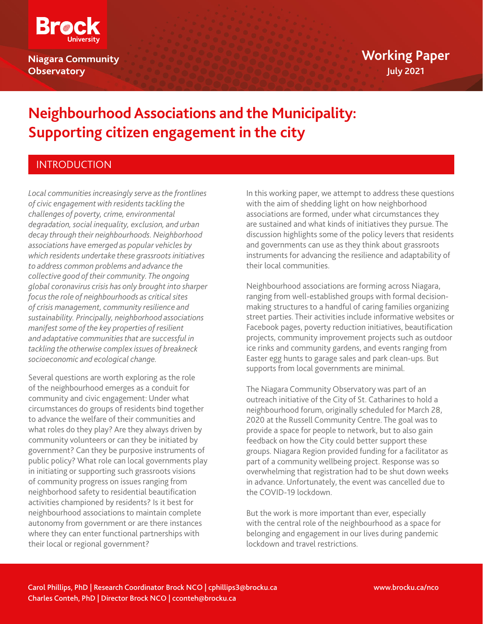

**Niagara Community Observatory** 

# **Neighbourhood Associations and the Municipality: Supporting citizen engagement in the city**

# INTRODUCTION

*Local communities increasingly serve as the frontlines of civic engagement with residents tackling the challenges of poverty, crime, environmental degradation, social inequality, exclusion, and urban decay through their neighbourhoods. Neighborhood associations have emerged as popular vehicles by which residents undertake these grassroots initiatives to address common problems and advance the collective good of their community. The ongoing global coronavirus crisis has only brought into sharper focus the role of neighbourhoods as critical sites of crisis management, community resilience and sustainability. Principally, neighborhood associations manifest some of the key properties of resilient and adaptative communities that are successful in tackling the otherwise complex issues of breakneck socioeconomic and ecological change.* 

Several questions are worth exploring as the role of the neighbourhood emerges as a conduit for community and civic engagement: Under what circumstances do groups of residents bind together to advance the welfare of their communities and what roles do they play? Are they always driven by community volunteers or can they be initiated by government? Can they be purposive instruments of public policy? What role can local governments play in initiating or supporting such grassroots visions of community progress on issues ranging from neighborhood safety to residential beautification activities championed by residents? Is it best for neighbourhood associations to maintain complete autonomy from government or are there instances where they can enter functional partnerships with their local or regional government?

In this working paper, we attempt to address these questions with the aim of shedding light on how neighborhood associations are formed, under what circumstances they are sustained and what kinds of initiatives they pursue. The discussion highlights some of the policy levers that residents and governments can use as they think about grassroots instruments for advancing the resilience and adaptability of their local communities.

Neighbourhood associations are forming across Niagara, ranging from well-established groups with formal decisionmaking structures to a handful of caring families organizing street parties. Their activities include informative websites or Facebook pages, poverty reduction initiatives, beautification projects, community improvement projects such as outdoor ice rinks and community gardens, and events ranging from Easter egg hunts to garage sales and park clean-ups. But supports from local governments are minimal.

The Niagara Community Observatory was part of an outreach initiative of the City of St. Catharines to hold a neighbourhood forum, originally scheduled for March 28, 2020 at the Russell Community Centre. The goal was to provide a space for people to network, but to also gain feedback on how the City could better support these groups. Niagara Region provided funding for a facilitator as part of a community wellbeing project. Response was so overwhelming that registration had to be shut down weeks in advance. Unfortunately, the event was cancelled due to the COVID-19 lockdown.

But the work is more important than ever, especially with the central role of the neighbourhood as a space for belonging and engagement in our lives during pandemic lockdown and travel restrictions.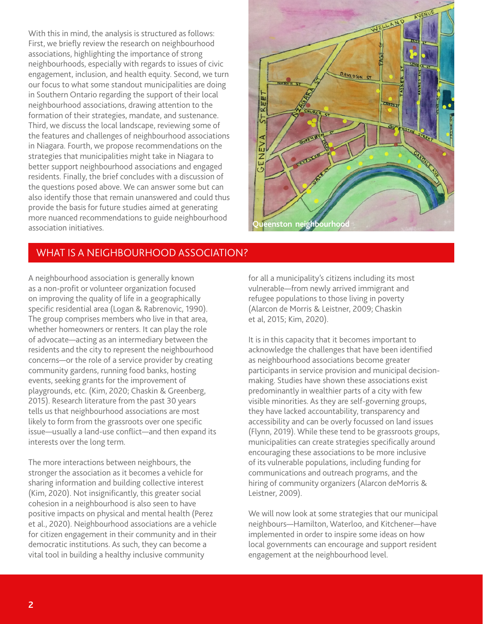With this in mind, the analysis is structured as follows: First, we briefly review the research on neighbourhood associations, highlighting the importance of strong neighbourhoods, especially with regards to issues of civic engagement, inclusion, and health equity. Second, we turn our focus to what some standout municipalities are doing in Southern Ontario regarding the support of their local neighbourhood associations, drawing attention to the formation of their strategies, mandate, and sustenance. Third, we discuss the local landscape, reviewing some of the features and challenges of neighbourhood associations in Niagara. Fourth, we propose recommendations on the strategies that municipalities might take in Niagara to better support neighbourhood associations and engaged residents. Finally, the brief concludes with a discussion of the questions posed above. We can answer some but can also identify those that remain unanswered and could thus provide the basis for future studies aimed at generating more nuanced recommendations to guide neighbourhood association initiatives.

# WHAT IS A NEIGHBOURHOOD ASSOCIATION?

A neighbourhood association is generally known as a non-profit or volunteer organization focused on improving the quality of life in a geographically specific residential area (Logan & Rabrenovic, 1990). The group comprises members who live in that area, whether homeowners or renters. It can play the role of advocate—acting as an intermediary between the residents and the city to represent the neighbourhood concerns—or the role of a service provider by creating community gardens, running food banks, hosting events, seeking grants for the improvement of playgrounds, etc. (Kim, 2020; Chaskin & Greenberg, 2015). Research literature from the past 30 years tells us that neighbourhood associations are most likely to form from the grassroots over one specific issue—usually a land-use conflict—and then expand its interests over the long term.

The more interactions between neighbours, the stronger the association as it becomes a vehicle for sharing information and building collective interest (Kim, 2020). Not insignificantly, this greater social cohesion in a neighbourhood is also seen to have positive impacts on physical and mental health (Perez et al., 2020). Neighbourhood associations are a vehicle for citizen engagement in their community and in their democratic institutions. As such, they can become a vital tool in building a healthy inclusive community

for all a municipality's citizens including its most vulnerable—from newly arrived immigrant and refugee populations to those living in poverty (Alarcon de Morris & Leistner, 2009; Chaskin et al, 2015; Kim, 2020).

It is in this capacity that it becomes important to acknowledge the challenges that have been identified as neighbourhood associations become greater participants in service provision and municipal decisionmaking. Studies have shown these associations exist predominantly in wealthier parts of a city with few visible minorities. As they are self-governing groups, they have lacked accountability, transparency and accessibility and can be overly focussed on land issues (Flynn, 2019). While these tend to be grassroots groups, municipalities can create strategies specifically around encouraging these associations to be more inclusive of its vulnerable populations, including funding for communications and outreach programs, and the hiring of community organizers (Alarcon deMorris & Leistner, 2009).

We will now look at some strategies that our municipal neighbours—Hamilton, Waterloo, and Kitchener—have implemented in order to inspire some ideas on how local governments can encourage and support resident engagement at the neighbourhood level.



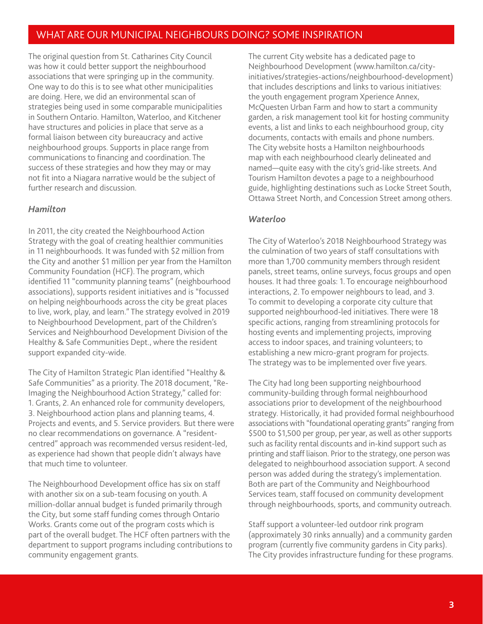# WHAT ARE OUR MUNICIPAL NEIGHBOURS DOING? SOME INSPIRATION

The original question from St. Catharines City Council was how it could better support the neighbourhood associations that were springing up in the community. One way to do this is to see what other municipalities are doing. Here, we did an environmental scan of strategies being used in some comparable municipalities in Southern Ontario. Hamilton, Waterloo, and Kitchener have structures and policies in place that serve as a formal liaison between city bureaucracy and active neighbourhood groups. Supports in place range from communications to financing and coordination. The success of these strategies and how they may or may not fit into a Niagara narrative would be the subject of further research and discussion.

### *Hamilton*

In 2011, the city created the Neighbourhood Action Strategy with the goal of creating healthier communities in 11 neighbourhoods. It was funded with \$2 million from the City and another \$1 million per year from the Hamilton Community Foundation (HCF). The program, which identified 11 "community planning teams" (neighbourhood associations), supports resident initiatives and is "focussed on helping neighbourhoods across the city be great places to live, work, play, and learn." The strategy evolved in 2019 to Neighbourhood Development, part of the Children's Services and Neighbourhood Development Division of the Healthy & Safe Communities Dept., where the resident support expanded city-wide.

The City of Hamilton Strategic Plan identified "Healthy & Safe Communities" as a priority. The 2018 document, "Re-Imaging the Neighbourhood Action Strategy," called for: 1. Grants, 2. An enhanced role for community developers, 3. Neighbourhood action plans and planning teams, 4. Projects and events, and 5. Service providers. But there were no clear recommendations on governance. A "residentcentred" approach was recommended versus resident-led, as experience had shown that people didn't always have that much time to volunteer.

The Neighbourhood Development office has six on staff with another six on a sub-team focusing on youth. A million-dollar annual budget is funded primarily through the City, but some staff funding comes through Ontario Works. Grants come out of the program costs which is part of the overall budget. The HCF often partners with the department to support programs including contributions to community engagement grants.

The current City website has a dedicated page to Neighbourhood Development (www.hamilton.ca/cityinitiatives/strategies-actions/neighbourhood-development) that includes descriptions and links to various initiatives: the youth engagement program Xperience Annex, McQuesten Urban Farm and how to start a community garden, a risk management tool kit for hosting community events, a list and links to each neighbourhood group, city documents, contacts with emails and phone numbers. The City website hosts a Hamilton neighbourhoods map with each neighbourhood clearly delineated and named—quite easy with the city's grid-like streets. And Tourism Hamilton devotes a page to a neighbourhood guide, highlighting destinations such as Locke Street South, Ottawa Street North, and Concession Street among others.

### *Waterloo*

The City of Waterloo's 2018 Neighbourhood Strategy was the culmination of two years of staff consultations with more than 1,700 community members through resident panels, street teams, online surveys, focus groups and open houses. It had three goals: 1. To encourage neighbourhood interactions, 2. To empower neighbours to lead, and 3. To commit to developing a corporate city culture that supported neighbourhood-led initiatives. There were 18 specific actions, ranging from streamlining protocols for hosting events and implementing projects, improving access to indoor spaces, and training volunteers; to establishing a new micro-grant program for projects. The strategy was to be implemented over five years.

The City had long been supporting neighbourhood community-building through formal neighbourhood associations prior to development of the neighbourhood strategy. Historically, it had provided formal neighbourhood associations with "foundational operating grants" ranging from \$500 to \$1,500 per group, per year, as well as other supports such as facility rental discounts and in-kind support such as printing and staff liaison. Prior to the strategy, one person was delegated to neighbourhood association support. A second person was added during the strategy's implementation. Both are part of the Community and Neighbourhood Services team, staff focused on community development through neighbourhoods, sports, and community outreach.

Staff support a volunteer-led outdoor rink program (approximately 30 rinks annually) and a community garden program (currently five community gardens in City parks). The City provides infrastructure funding for these programs.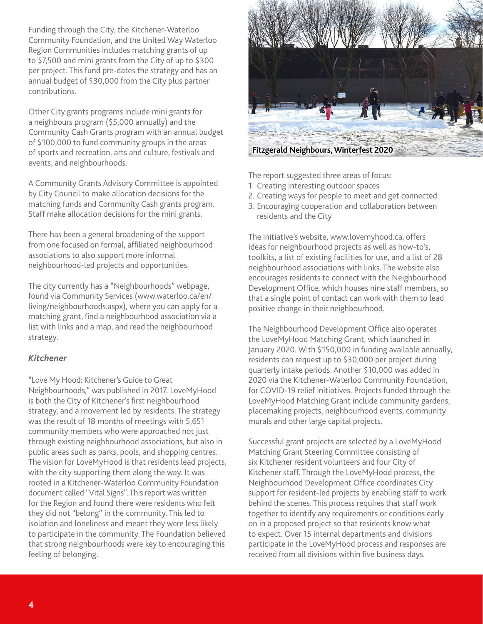Funding through the City, the Kitchener-Waterloo Community Foundation, and the United Way Waterloo Region Communities includes matching grants of up to \$7,500 and mini grants from the City of up to \$300 per project. This fund pre-dates the strategy and has an annual budget of \$30,000 from the City plus partner contributions.

Other City grants programs include mini grants for a neighbours program (\$5,000 annually) and the Community Cash Grants program with an annual budget of \$100,000 to fund community groups in the areas of sports and recreation, arts and culture, festivals and events, and neighbourhoods.

A Community Grants Advisory Committee is appointed by City Council to make allocation decisions for the matching funds and Community Cash grants program. Staff make allocation decisions for the mini grants.

There has been a general broadening of the support from one focused on formal, affiliated neighbourhood associations to also support more informal neighbourhood-led projects and opportunities.

The city currently has a "Neighbourhoods" webpage, found via Community Services (www.waterloo.ca/en/ living/neighbourhoods.aspx), where you can apply for a matching grant, find a neighbourhood association via a list with links and a map, and read the neighbourhood strategy.

## *Kitchener*

"Love My Hood: Kitchener's Guide to Great Neighbourhoods," was published in 2017. LoveMyHood is both the City of Kitchener's first neighbourhood strategy, and a movement led by residents. The strategy was the result of 18 months of meetings with 5,651 community members who were approached not just through existing neighbourhood associations, but also in public areas such as parks, pools, and shopping centres. The vision for LoveMyHood is that residents lead projects, with the city supporting them along the way. It was rooted in a Kitchener-Waterloo Community Foundation document called "Vital Signs". This report was written for the Region and found there were residents who felt they did not "belong" in the community. This led to isolation and loneliness and meant they were less likely to participate in the community. The Foundation believed that strong neighbourhoods were key to encouraging this feeling of belonging.



The report suggested three areas of focus:

- 1. Creating interesting outdoor spaces
- 2. Creating ways for people to meet and get connected
- 3. Encouraging cooperation and collaboration between residents and the City

The initiative's website, www.lovemyhood.ca, offers ideas for neighbourhood projects as well as how-to's, toolkits, a list of existing facilities for use, and a list of 28 neighbourhood associations with links. The website also encourages residents to connect with the Neighbourhood Development Office, which houses nine staff members, so that a single point of contact can work with them to lead positive change in their neighbourhood.

The Neighbourhood Development Office also operates the LoveMyHood Matching Grant, which launched in January 2020. With \$150,000 in funding available annually, residents can request up to \$30,000 per project during quarterly intake periods. Another \$10,000 was added in 2020 via the Kitchener-Waterloo Community Foundation, for COVID-19 relief initiatives. Projects funded through the LoveMyHood Matching Grant include community gardens, placemaking projects, neighbourhood events, community murals and other large capital projects.

Successful grant projects are selected by a LoveMyHood Matching Grant Steering Committee consisting of six Kitchener resident volunteers and four City of Kitchener staff. Through the LoveMyHood process, the Neighbourhood Development Office coordinates City support for resident-led projects by enabling staff to work behind the scenes. This process requires that staff work together to identify any requirements or conditions early on in a proposed project so that residents know what to expect. Over 15 internal departments and divisions participate in the LoveMyHood process and responses are received from all divisions within five business days.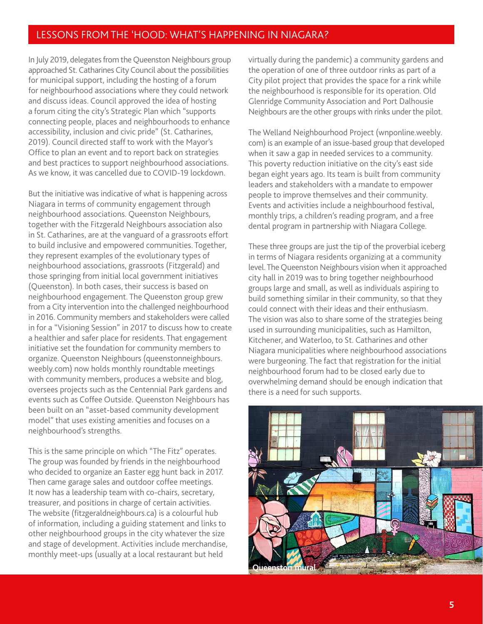## LESSONS FROM THE 'HOOD: WHAT'S HAPPENING IN NIAGARA?

In July 2019, delegates from the Queenston Neighbours group approached St. Catharines City Council about the possibilities for municipal support, including the hosting of a forum for neighbourhood associations where they could network and discuss ideas. Council approved the idea of hosting a forum citing the city's Strategic Plan which "supports connecting people, places and neighbourhoods to enhance accessibility, inclusion and civic pride" (St. Catharines, 2019). Council directed staff to work with the Mayor's Office to plan an event and to report back on strategies and best practices to support neighbourhood associations. As we know, it was cancelled due to COVID-19 lockdown.

But the initiative was indicative of what is happening across Niagara in terms of community engagement through neighbourhood associations. Queenston Neighbours, together with the Fitzgerald Neighbours association also in St. Catharines, are at the vanguard of a grassroots effort to build inclusive and empowered communities. Together, they represent examples of the evolutionary types of neighbourhood associations, grassroots (Fitzgerald) and those springing from initial local government initiatives (Queenston). In both cases, their success is based on neighbourhood engagement. The Queenston group grew from a City intervention into the challenged neighbourhood in 2016. Community members and stakeholders were called in for a "Visioning Session" in 2017 to discuss how to create a healthier and safer place for residents. That engagement initiative set the foundation for community members to organize. Queenston Neighbours (queenstonneighbours. weebly.com) now holds monthly roundtable meetings with community members, produces a website and blog, oversees projects such as the Centennial Park gardens and events such as Coffee Outside. Queenston Neighbours has been built on an "asset-based community development model" that uses existing amenities and focuses on a neighbourhood's strengths.

This is the same principle on which "The Fitz" operates. The group was founded by friends in the neighbourhood who decided to organize an Easter egg hunt back in 2017. Then came garage sales and outdoor coffee meetings. It now has a leadership team with co-chairs, secretary, treasurer, and positions in charge of certain activities. The website (fitzgeraldneighbours.ca) is a colourful hub of information, including a guiding statement and links to other neighbourhood groups in the city whatever the size and stage of development. Activities include merchandise, monthly meet-ups (usually at a local restaurant but held

virtually during the pandemic) a community gardens and the operation of one of three outdoor rinks as part of a City pilot project that provides the space for a rink while the neighbourhood is responsible for its operation. Old Glenridge Community Association and Port Dalhousie Neighbours are the other groups with rinks under the pilot.

The Welland Neighbourhood Project (wnponline.weebly. com) is an example of an issue-based group that developed when it saw a gap in needed services to a community. This poverty reduction initiative on the city's east side began eight years ago. Its team is built from community leaders and stakeholders with a mandate to empower people to improve themselves and their community. Events and activities include a neighbourhood festival, monthly trips, a children's reading program, and a free dental program in partnership with Niagara College.

These three groups are just the tip of the proverbial iceberg in terms of Niagara residents organizing at a community level. The Queenston Neighbours vision when it approached city hall in 2019 was to bring together neighbourhood groups large and small, as well as individuals aspiring to build something similar in their community, so that they could connect with their ideas and their enthusiasm. The vision was also to share some of the strategies being used in surrounding municipalities, such as Hamilton, Kitchener, and Waterloo, to St. Catharines and other Niagara municipalities where neighbourhood associations were burgeoning. The fact that registration for the initial neighbourhood forum had to be closed early due to overwhelming demand should be enough indication that there is a need for such supports.

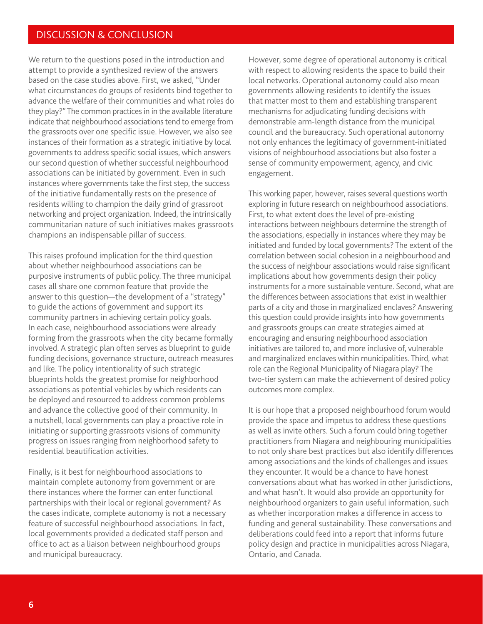## DISCUSSION & CONCLUSION

We return to the questions posed in the introduction and attempt to provide a synthesized review of the answers based on the case studies above. First, we asked, "Under what circumstances do groups of residents bind together to advance the welfare of their communities and what roles do they play?" The common practices in in the available literature indicate that neighbourhood associations tend to emerge from the grassroots over one specific issue. However, we also see instances of their formation as a strategic initiative by local governments to address specific social issues, which answers our second question of whether successful neighbourhood associations can be initiated by government. Even in such instances where governments take the first step, the success of the initiative fundamentally rests on the presence of residents willing to champion the daily grind of grassroot networking and project organization. Indeed, the intrinsically communitarian nature of such initiatives makes grassroots champions an indispensable pillar of success.

This raises profound implication for the third question about whether neighbourhood associations can be purposive instruments of public policy. The three municipal cases all share one common feature that provide the answer to this question—the development of a "strategy" to guide the actions of government and support its community partners in achieving certain policy goals. In each case, neighbourhood associations were already forming from the grassroots when the city became formally involved. A strategic plan often serves as blueprint to guide funding decisions, governance structure, outreach measures and like. The policy intentionality of such strategic blueprints holds the greatest promise for neighborhood associations as potential vehicles by which residents can be deployed and resourced to address common problems and advance the collective good of their community. In a nutshell, local governments can play a proactive role in initiating or supporting grassroots visions of community progress on issues ranging from neighborhood safety to residential beautification activities.

Finally, is it best for neighbourhood associations to maintain complete autonomy from government or are there instances where the former can enter functional partnerships with their local or regional government? As the cases indicate, complete autonomy is not a necessary feature of successful neighbourhood associations. In fact, local governments provided a dedicated staff person and office to act as a liaison between neighbourhood groups and municipal bureaucracy.

However, some degree of operational autonomy is critical with respect to allowing residents the space to build their local networks. Operational autonomy could also mean governments allowing residents to identify the issues that matter most to them and establishing transparent mechanisms for adjudicating funding decisions with demonstrable arm-length distance from the municipal council and the bureaucracy. Such operational autonomy not only enhances the legitimacy of government-initiated visions of neighbourhood associations but also foster a sense of community empowerment, agency, and civic engagement.

This working paper, however, raises several questions worth exploring in future research on neighbourhood associations. First, to what extent does the level of pre-existing interactions between neighbours determine the strength of the associations, especially in instances where they may be initiated and funded by local governments? The extent of the correlation between social cohesion in a neighbourhood and the success of neighbour associations would raise significant implications about how governments design their policy instruments for a more sustainable venture. Second, what are the differences between associations that exist in wealthier parts of a city and those in marginalized enclaves? Answering this question could provide insights into how governments and grassroots groups can create strategies aimed at encouraging and ensuring neighbourhood association initiatives are tailored to, and more inclusive of, vulnerable and marginalized enclaves within municipalities. Third, what role can the Regional Municipality of Niagara play? The two-tier system can make the achievement of desired policy outcomes more complex.

It is our hope that a proposed neighbourhood forum would provide the space and impetus to address these questions as well as invite others. Such a forum could bring together practitioners from Niagara and neighbouring municipalities to not only share best practices but also identify differences among associations and the kinds of challenges and issues they encounter. It would be a chance to have honest conversations about what has worked in other jurisdictions, and what hasn't. It would also provide an opportunity for neighbourhood organizers to gain useful information, such as whether incorporation makes a difference in access to funding and general sustainability. These conversations and deliberations could feed into a report that informs future policy design and practice in municipalities across Niagara, Ontario, and Canada.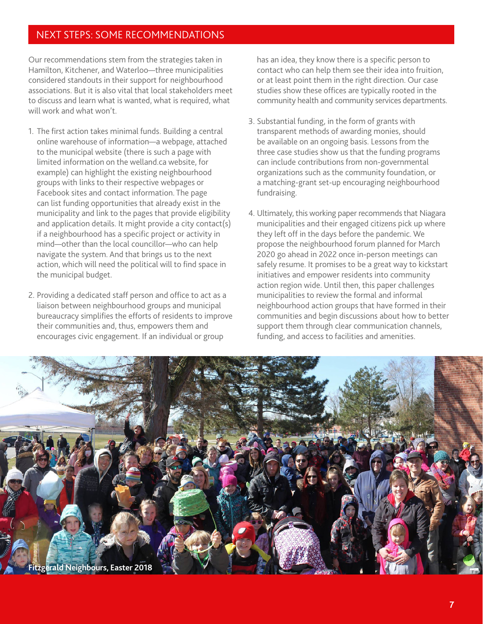# NEXT STEPS: SOME RECOMMENDATIONS

Our recommendations stem from the strategies taken in Hamilton, Kitchener, and Waterloo—three municipalities considered standouts in their support for neighbourhood associations. But it is also vital that local stakeholders meet to discuss and learn what is wanted, what is required, what will work and what won't.

- 1. The first action takes minimal funds. Building a central online warehouse of information—a webpage, attached to the municipal website (there is such a page with limited information on the welland.ca website, for example) can highlight the existing neighbourhood groups with links to their respective webpages or Facebook sites and contact information. The page can list funding opportunities that already exist in the municipality and link to the pages that provide eligibility and application details. It might provide a city contact(s) if a neighbourhood has a specific project or activity in mind—other than the local councillor—who can help navigate the system. And that brings us to the next action, which will need the political will to find space in the municipal budget.
- 2. Providing a dedicated staff person and office to act as a liaison between neighbourhood groups and municipal bureaucracy simplifies the efforts of residents to improve their communities and, thus, empowers them and encourages civic engagement. If an individual or group

has an idea, they know there is a specific person to contact who can help them see their idea into fruition, or at least point them in the right direction. Our case studies show these offices are typically rooted in the community health and community services departments.

- 3. Substantial funding, in the form of grants with transparent methods of awarding monies, should be available on an ongoing basis. Lessons from the three case studies show us that the funding programs can include contributions from non-governmental organizations such as the community foundation, or a matching-grant set-up encouraging neighbourhood fundraising.
- 4. Ultimately, this working paper recommends that Niagara municipalities and their engaged citizens pick up where they left off in the days before the pandemic. We propose the neighbourhood forum planned for March 2020 go ahead in 2022 once in-person meetings can safely resume. It promises to be a great way to kickstart initiatives and empower residents into community action region wide. Until then, this paper challenges municipalities to review the formal and informal neighbourhood action groups that have formed in their communities and begin discussions about how to better support them through clear communication channels, funding, and access to facilities and amenities.